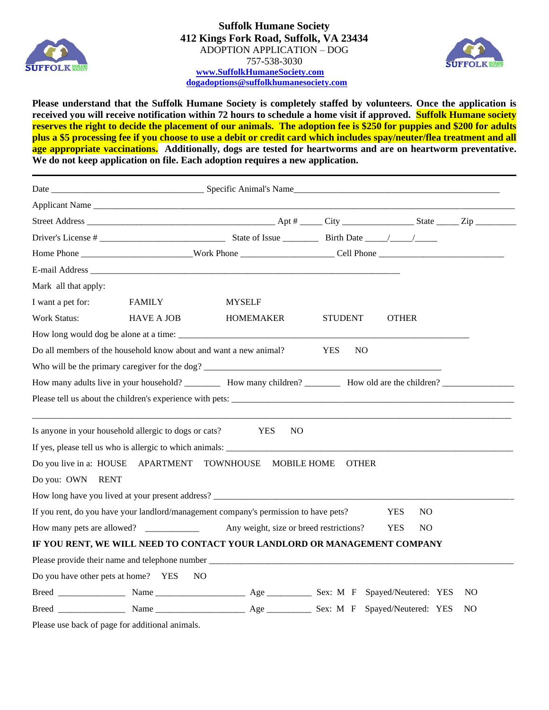



**Please understand that the Suffolk Humane Society is completely staffed by volunteers. Once the application is received you will receive notification within 72 hours to schedule a home visit if approved. Suffolk Humane society reserves the right to decide the placement of our animals. The adoption fee is \$250 for puppies and \$200 for adults plus a \$5 processing fee if you choose to use a debit or credit card which includes spay/neuter/flea treatment and all age appropriate vaccinations. Additionally, dogs are tested for heartworms and are on heartworm preventative. We do not keep application on file. Each adoption requires a new application.**

| Mark all that apply:                                              |                   |                                                                                      |                   |                   |                |
|-------------------------------------------------------------------|-------------------|--------------------------------------------------------------------------------------|-------------------|-------------------|----------------|
| I want a pet for:                                                 | <b>FAMILY</b>     | <b>MYSELF</b>                                                                        |                   |                   |                |
| <b>Work Status:</b>                                               | <b>HAVE A JOB</b> | HOMEMAKER                                                                            | <b>STUDENT</b>    | <b>OTHER</b>      |                |
|                                                                   |                   |                                                                                      |                   |                   |                |
| Do all members of the household know about and want a new animal? |                   |                                                                                      | <b>YES</b><br>NO. |                   |                |
|                                                                   |                   | Who will be the primary caregiver for the dog?                                       |                   |                   |                |
|                                                                   |                   |                                                                                      |                   |                   |                |
|                                                                   |                   |                                                                                      |                   |                   |                |
| Is anyone in your household allergic to dogs or cats?             |                   | <b>YES</b><br>N <sub>O</sub>                                                         |                   |                   |                |
|                                                                   |                   |                                                                                      |                   |                   |                |
| Do you live in a: HOUSE APARTMENT                                 |                   | TOWNHOUSE MOBILE HOME                                                                | <b>OTHER</b>      |                   |                |
| Do you: OWN RENT                                                  |                   |                                                                                      |                   |                   |                |
|                                                                   |                   | How long have you lived at your present address? ________________________________    |                   |                   |                |
|                                                                   |                   | If you rent, do you have your landlord/management company's permission to have pets? |                   | <b>YES</b><br>NO. |                |
| How many pets are allowed?                                        |                   | Any weight, size or breed restrictions?                                              |                   | <b>YES</b><br>NO. |                |
|                                                                   |                   | IF YOU RENT, WE WILL NEED TO CONTACT YOUR LANDLORD OR MANAGEMENT COMPANY             |                   |                   |                |
|                                                                   |                   |                                                                                      |                   |                   |                |
| Do you have other pets at home? YES                               | N <sub>O</sub>    |                                                                                      |                   |                   |                |
|                                                                   |                   |                                                                                      |                   |                   | N <sub>O</sub> |
|                                                                   |                   |                                                                                      |                   |                   | N <sub>O</sub> |

Please use back of page for additional animals.